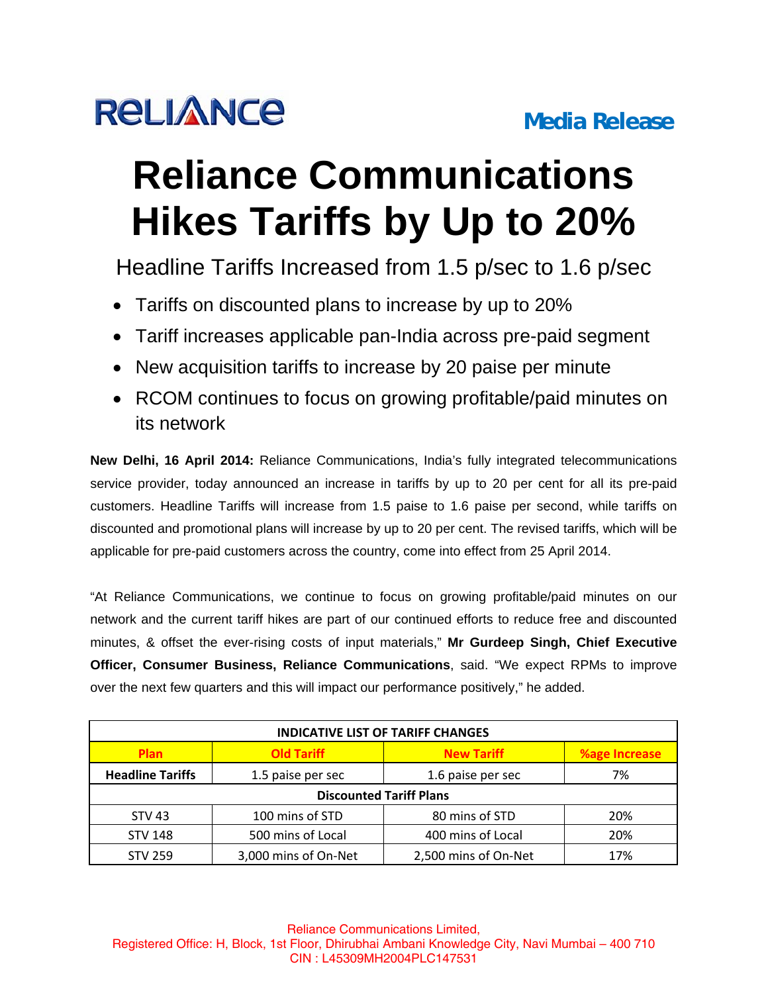

## **Reliance Communications Hikes Tariffs by Up to 20%**

Headline Tariffs Increased from 1.5 p/sec to 1.6 p/sec

- Tariffs on discounted plans to increase by up to 20%
- Tariff increases applicable pan-India across pre-paid segment
- New acquisition tariffs to increase by 20 paise per minute
- RCOM continues to focus on growing profitable/paid minutes on its network

**New Delhi, 16 April 2014:** Reliance Communications, India's fully integrated telecommunications service provider, today announced an increase in tariffs by up to 20 per cent for all its pre-paid customers. Headline Tariffs will increase from 1.5 paise to 1.6 paise per second, while tariffs on discounted and promotional plans will increase by up to 20 per cent. The revised tariffs, which will be applicable for pre-paid customers across the country, come into effect from 25 April 2014.

"At Reliance Communications, we continue to focus on growing profitable/paid minutes on our network and the current tariff hikes are part of our continued efforts to reduce free and discounted minutes, & offset the ever-rising costs of input materials," **Mr Gurdeep Singh, Chief Executive Officer, Consumer Business, Reliance Communications**, said. "We expect RPMs to improve over the next few quarters and this will impact our performance positively," he added.

| <b>INDICATIVE LIST OF TARIFF CHANGES</b> |                      |                      |                      |
|------------------------------------------|----------------------|----------------------|----------------------|
| <b>Plan</b>                              | <b>Old Tariff</b>    | <b>New Tariff</b>    | <b>%age Increase</b> |
| <b>Headline Tariffs</b>                  | 1.5 paise per sec    | 1.6 paise per sec    | 7%                   |
| <b>Discounted Tariff Plans</b>           |                      |                      |                      |
| <b>STV 43</b>                            | 100 mins of STD      | 80 mins of STD       | 20%                  |
| <b>STV 148</b>                           | 500 mins of Local    | 400 mins of Local    | 20%                  |
| <b>STV 259</b>                           | 3,000 mins of On-Net | 2,500 mins of On-Net | 17%                  |